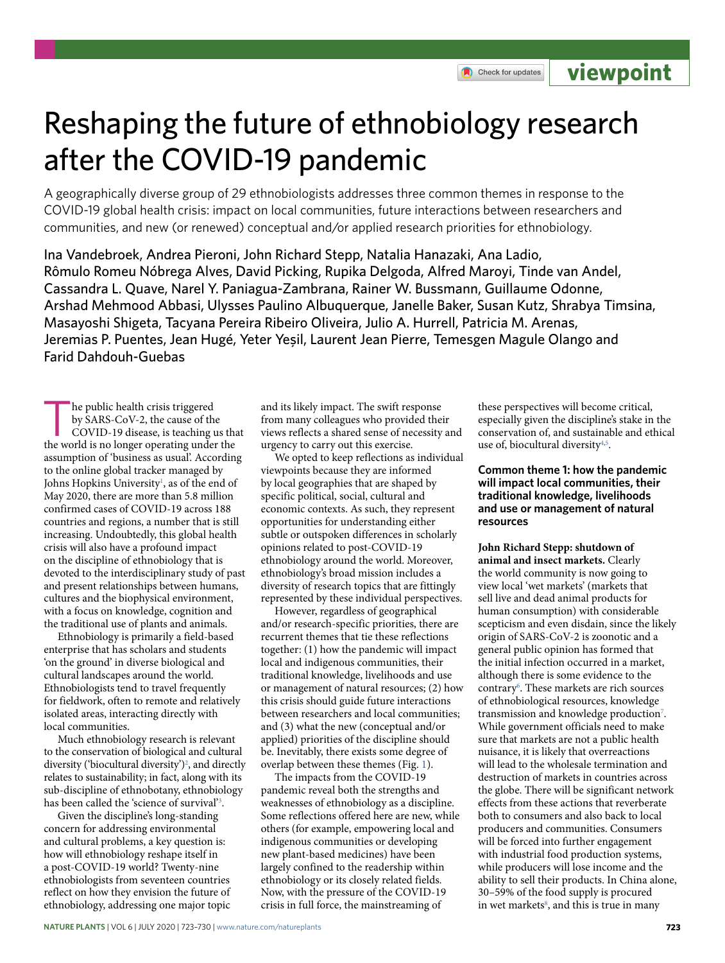# Reshaping the future of ethnobiology research after the COVID-19 pandemic

A geographically diverse group of 29 ethnobiologists addresses three common themes in response to the COVID-19 global health crisis: impact on local communities, future interactions between researchers and communities, and new (or renewed) conceptual and/or applied research priorities for ethnobiology.

Ina Vandebroek, Andrea Pieroni, John Richard Stepp, Natalia Hanazaki, Ana Ladio, Rômulo Romeu Nóbrega Alves, David Picking, Rupika Delgoda, Alfred Maroyi, Tinde van Andel, Cassandra L. Quave, Narel Y. Paniagua-Zambrana, Rainer W. Bussmann, Guillaume Odonne, Arshad Mehmood Abbasi, Ulysses Paulino Albuquerque, Janelle Baker, Susan Kutz, Shrabya Timsina, Masayoshi Shigeta, Tacyana Pereira Ribeiro Oliveira, Julio A. Hurrell, Patricia M. Arenas, Jeremias P. Puentes, Jean Hugé, Yeter Yeşil, Laurent Jean Pierre, Temesgen Magule Olango and Farid Dahdouh-Guebas

The public health crisis triggered<br>by SARS-CoV-2, the cause of the<br>COVID-19 disease, is teaching us that<br>the world is no longer operating under the by SARS-CoV-2, the cause of the the world is no longer operating under the assumption of 'business as usual'. According to the online global tracker managed by Johns Hopkins University<sup>[1](#page-6-0)</sup>, as of the end of May 2020, there are more than 5.8 million confirmed cases of COVID-19 across 188 countries and regions, a number that is still increasing. Undoubtedly, this global health crisis will also have a profound impact on the discipline of ethnobiology that is devoted to the interdisciplinary study of past and present relationships between humans, cultures and the biophysical environment, with a focus on knowledge, cognition and the traditional use of plants and animals.

Ethnobiology is primarily a field-based enterprise that has scholars and students 'on the ground' in diverse biological and cultural landscapes around the world. Ethnobiologists tend to travel frequently for fieldwork, often to remote and relatively isolated areas, interacting directly with local communities.

Much ethnobiology research is relevant to the conservation of biological and cultural diversity ('biocultural diversity')<sup>2</sup>, and directly relates to sustainability; in fact, along with its sub-discipline of ethnobotany, ethnobiology has been called the 'science of survival'[3](#page-6-2) .

Given the discipline's long-standing concern for addressing environmental and cultural problems, a key question is: how will ethnobiology reshape itself in a post-COVID-19 world? Twenty-nine ethnobiologists from seventeen countries reflect on how they envision the future of ethnobiology, addressing one major topic and its likely impact. The swift response from many colleagues who provided their views reflects a shared sense of necessity and urgency to carry out this exercise.

We opted to keep reflections as individual viewpoints because they are informed by local geographies that are shaped by specific political, social, cultural and economic contexts. As such, they represent opportunities for understanding either subtle or outspoken differences in scholarly opinions related to post-COVID-19 ethnobiology around the world. Moreover, ethnobiology's broad mission includes a diversity of research topics that are fittingly represented by these individual perspectives.

However, regardless of geographical and/or research-specific priorities, there are recurrent themes that tie these reflections together: (1) how the pandemic will impact local and indigenous communities, their traditional knowledge, livelihoods and use or management of natural resources; (2) how this crisis should guide future interactions between researchers and local communities; and (3) what the new (conceptual and/or applied) priorities of the discipline should be. Inevitably, there exists some degree of overlap between these themes (Fig. [1\)](#page-1-0).

The impacts from the COVID-19 pandemic reveal both the strengths and weaknesses of ethnobiology as a discipline. Some reflections offered here are new, while others (for example, empowering local and indigenous communities or developing new plant-based medicines) have been largely confined to the readership within ethnobiology or its closely related fields. Now, with the pressure of the COVID-19 crisis in full force, the mainstreaming of

these perspectives will become critical, especially given the discipline's stake in the conservation of, and sustainable and ethical use of, biocultural diversity<sup>[4](#page-6-3)[,5](#page-6-4)</sup>.

**Common theme 1: how the pandemic will impact local communities, their traditional knowledge, livelihoods and use or management of natural resources**

**John Richard Stepp: shutdown of animal and insect markets.** Clearly the world community is now going to view local 'wet markets' (markets that sell live and dead animal products for human consumption) with considerable scepticism and even disdain, since the likely origin of SARS-CoV-2 is zoonotic and a general public opinion has formed that the initial infection occurred in a market, although there is some evidence to the contrary<sup>[6](#page-6-5)</sup>. These markets are rich sources of ethnobiological resources, knowledge transmission and knowledge production<sup>[7](#page-6-6)</sup>. While government officials need to make sure that markets are not a public health nuisance, it is likely that overreactions will lead to the wholesale termination and destruction of markets in countries across the globe. There will be significant network effects from these actions that reverberate both to consumers and also back to local producers and communities. Consumers will be forced into further engagement with industrial food production systems, while producers will lose income and the ability to sell their products. In China alone, 30–59% of the food supply is procured in wet markets<sup>8</sup>, and this is true in many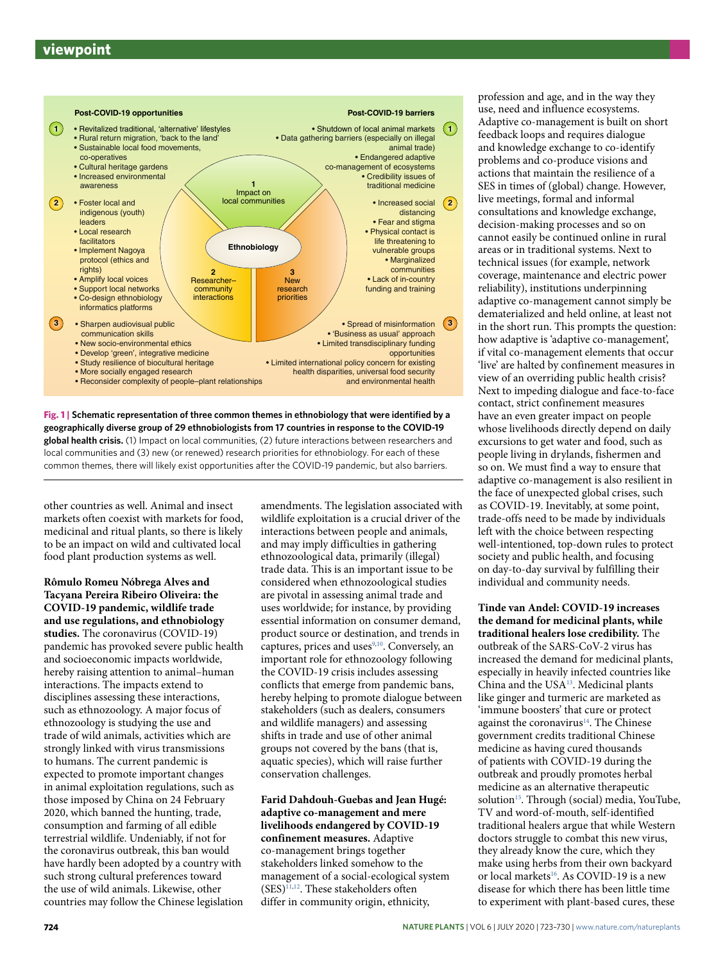# **viewpoint**



<span id="page-1-0"></span>**Fig. 1 | Schematic representation of three common themes in ethnobiology that were identified by a geographically diverse group of 29 ethnobiologists from 17 countries in response to the COVID-19 global health crisis.** (1) Impact on local communities, (2) future interactions between researchers and local communities and (3) new (or renewed) research priorities for ethnobiology. For each of these common themes, there will likely exist opportunities after the COVID-19 pandemic, but also barriers.

other countries as well. Animal and insect markets often coexist with markets for food, medicinal and ritual plants, so there is likely to be an impact on wild and cultivated local food plant production systems as well.

**Rômulo Romeu Nóbrega Alves and Tacyana Pereira Ribeiro Oliveira: the COVID-19 pandemic, wildlife trade and use regulations, and ethnobiology studies.** The coronavirus (COVID-19) pandemic has provoked severe public health and socioeconomic impacts worldwide, hereby raising attention to animal–human interactions. The impacts extend to disciplines assessing these interactions, such as ethnozoology. A major focus of ethnozoology is studying the use and trade of wild animals, activities which are strongly linked with virus transmissions to humans. The current pandemic is expected to promote important changes in animal exploitation regulations, such as those imposed by China on 24 February 2020, which banned the hunting, trade, consumption and farming of all edible terrestrial wildlife. Undeniably, if not for the coronavirus outbreak, this ban would have hardly been adopted by a country with such strong cultural preferences toward the use of wild animals. Likewise, other countries may follow the Chinese legislation

amendments. The legislation associated with wildlife exploitation is a crucial driver of the interactions between people and animals, and may imply difficulties in gathering ethnozoological data, primarily (illegal) trade data. This is an important issue to be considered when ethnozoological studies are pivotal in assessing animal trade and uses worldwide; for instance, by providing essential information on consumer demand, product source or destination, and trends in captures, prices and uses<sup>[9](#page-6-8),10</sup>. Conversely, an important role for ethnozoology following the COVID-19 crisis includes assessing conflicts that emerge from pandemic bans, hereby helping to promote dialogue between stakeholders (such as dealers, consumers and wildlife managers) and assessing shifts in trade and use of other animal groups not covered by the bans (that is, aquatic species), which will raise further conservation challenges.

**Farid Dahdouh-Guebas and Jean Hugé: adaptive co-management and mere livelihoods endangered by COVID-19 confinement measures.** Adaptive co-management brings together stakeholders linked somehow to the management of a social-ecological system  $(SES)^{11,12}$  $(SES)^{11,12}$  $(SES)^{11,12}$  $(SES)^{11,12}$ . These stakeholders often differ in community origin, ethnicity,

profession and age, and in the way they use, need and influence ecosystems. Adaptive co-management is built on short feedback loops and requires dialogue and knowledge exchange to co-identify problems and co-produce visions and actions that maintain the resilience of a SES in times of (global) change. However, live meetings, formal and informal consultations and knowledge exchange, decision-making processes and so on cannot easily be continued online in rural areas or in traditional systems. Next to technical issues (for example, network coverage, maintenance and electric power reliability), institutions underpinning adaptive co-management cannot simply be dematerialized and held online, at least not in the short run. This prompts the question: how adaptive is 'adaptive co-management', if vital co-management elements that occur 'live' are halted by confinement measures in view of an overriding public health crisis? Next to impeding dialogue and face-to-face contact, strict confinement measures have an even greater impact on people whose livelihoods directly depend on daily excursions to get water and food, such as people living in drylands, fishermen and so on. We must find a way to ensure that adaptive co-management is also resilient in the face of unexpected global crises, such as COVID-19. Inevitably, at some point, trade-offs need to be made by individuals left with the choice between respecting well-intentioned, top-down rules to protect society and public health, and focusing on day-to-day survival by fulfilling their individual and community needs.

**Tinde van Andel: COVID-19 increases the demand for medicinal plants, while traditional healers lose credibility.** The outbreak of the SARS-CoV-2 virus has increased the demand for medicinal plants, especially in heavily infected countries like China and the US[A13.](#page-6-12) Medicinal plants like ginger and turmeric are marketed as 'immune boosters' that cure or protect against the coronavirus<sup>14</sup>. The Chinese government credits traditional Chinese medicine as having cured thousands of patients with COVID-19 during the outbreak and proudly promotes herbal medicine as an alternative therapeutic solution<sup>15</sup>. Through (social) media, YouTube, TV and word-of-mouth, self-identified traditional healers argue that while Western doctors struggle to combat this new virus, they already know the cure, which they make using herbs from their own backyard or local markets<sup>16</sup>. As COVID-19 is a new disease for which there has been little time to experiment with plant-based cures, these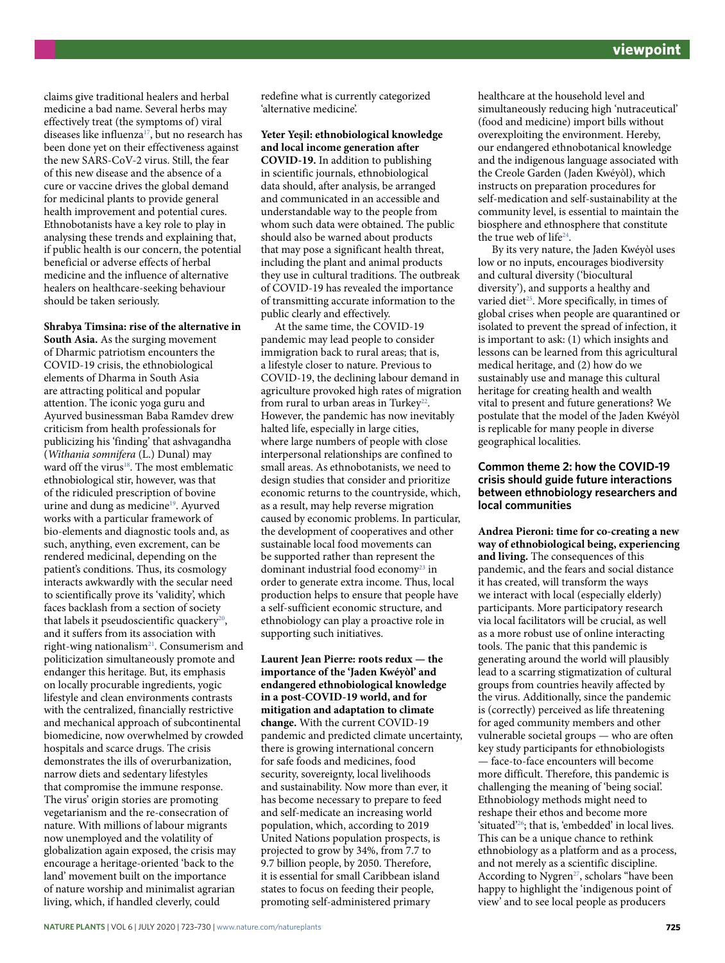claims give traditional healers and herbal medicine a bad name. Several herbs may effectively treat (the symptoms of) viral diseases like influenza<sup>17</sup>, but no research has been done yet on their effectiveness against the new SARS-CoV-2 virus. Still, the fear of this new disease and the absence of a cure or vaccine drives the global demand for medicinal plants to provide general health improvement and potential cures. Ethnobotanists have a key role to play in analysing these trends and explaining that, if public health is our concern, the potential beneficial or adverse effects of herbal medicine and the influence of alternative healers on healthcare-seeking behaviour should be taken seriously.

**Shrabya Timsina: rise of the alternative in** 

**South Asia.** As the surging movement of Dharmic patriotism encounters the COVID-19 crisis, the ethnobiological elements of Dharma in South Asia are attracting political and popular attention. The iconic yoga guru and Ayurved businessman Baba Ramdev drew criticism from health professionals for publicizing his 'finding' that ashvagandha (*Withania somnifera* (L.) Dunal) may ward off the virus $18$ . The most emblematic ethnobiological stir, however, was that of the ridiculed prescription of bovine urine and dung as medicine<sup>19</sup>. Ayurved works with a particular framework of bio-elements and diagnostic tools and, as such, anything, even excrement, can be rendered medicinal, depending on the patient's conditions. Thus, its cosmology interacts awkwardly with the secular need to scientifically prove its 'validity', which faces backlash from a section of society that labels it pseudoscientific quackery<sup>20</sup>, and it suffers from its association with right-wing nationalism<sup>21</sup>. Consumerism and politicization simultaneously promote and endanger this heritage. But, its emphasis on locally procurable ingredients, yogic lifestyle and clean environments contrasts with the centralized, financially restrictive and mechanical approach of subcontinental biomedicine, now overwhelmed by crowded hospitals and scarce drugs. The crisis demonstrates the ills of overurbanization, narrow diets and sedentary lifestyles that compromise the immune response. The virus' origin stories are promoting vegetarianism and the re-consecration of nature. With millions of labour migrants now unemployed and the volatility of globalization again exposed, the crisis may encourage a heritage-oriented 'back to the land' movement built on the importance of nature worship and minimalist agrarian living, which, if handled cleverly, could

redefine what is currently categorized 'alternative medicine'.

**Yeter Yeşil: ethnobiological knowledge and local income generation after COVID-19.** In addition to publishing in scientific journals, ethnobiological data should, after analysis, be arranged and communicated in an accessible and understandable way to the people from whom such data were obtained. The public should also be warned about products that may pose a significant health threat, including the plant and animal products they use in cultural traditions. The outbreak of COVID-19 has revealed the importance of transmitting accurate information to the public clearly and effectively.

At the same time, the COVID-19 pandemic may lead people to consider immigration back to rural areas; that is, a lifestyle closer to nature. Previous to COVID-19, the declining labour demand in agriculture provoked high rates of migration from rural to urban areas in Turkey<sup>22</sup>. However, the pandemic has now inevitably halted life, especially in large cities, where large numbers of people with close interpersonal relationships are confined to small areas. As ethnobotanists, we need to design studies that consider and prioritize economic returns to the countryside, which, as a result, may help reverse migration caused by economic problems. In particular, the development of cooperatives and other sustainable local food movements can be supported rather than represent the dominant industrial food economy<sup>23</sup> in order to generate extra income. Thus, local production helps to ensure that people have a self-sufficient economic structure, and ethnobiology can play a proactive role in supporting such initiatives.

**Laurent Jean Pierre: roots redux — the importance of the 'Jaden Kwéyòl' and endangered ethnobiological knowledge in a post-COVID-19 world, and for mitigation and adaptation to climate change.** With the current COVID-19 pandemic and predicted climate uncertainty, there is growing international concern for safe foods and medicines, food security, sovereignty, local livelihoods and sustainability. Now more than ever, it has become necessary to prepare to feed and self-medicate an increasing world population, which, according to 2019 United Nations population prospects, is projected to grow by 34%, from 7.7 to 9.7 billion people, by 2050. Therefore, it is essential for small Caribbean island states to focus on feeding their people, promoting self-administered primary

healthcare at the household level and simultaneously reducing high 'nutraceutical' (food and medicine) import bills without overexploiting the environment. Hereby, our endangered ethnobotanical knowledge and the indigenous language associated with the Creole Garden (Jaden Kwéyòl), which instructs on preparation procedures for self-medication and self-sustainability at the community level, is essential to maintain the biosphere and ethnosphere that constitute the true web of life<sup>24</sup>.

By its very nature, the Jaden Kwéyòl uses low or no inputs, encourages biodiversity and cultural diversity ('biocultural diversity'), and supports a healthy and varied diet<sup>25</sup>. More specifically, in times of global crises when people are quarantined or isolated to prevent the spread of infection, it is important to ask: (1) which insights and lessons can be learned from this agricultural medical heritage, and (2) how do we sustainably use and manage this cultural heritage for creating health and wealth vital to present and future generations? We postulate that the model of the Jaden Kwéyòl is replicable for many people in diverse geographical localities.

## **Common theme 2: how the COVID-19 crisis should guide future interactions between ethnobiology researchers and local communities**

**Andrea Pieroni: time for co-creating a new way of ethnobiological being, experiencing and living.** The consequences of this pandemic, and the fears and social distance it has created, will transform the ways we interact with local (especially elderly) participants. More participatory research via local facilitators will be crucial, as well as a more robust use of online interacting tools. The panic that this pandemic is generating around the world will plausibly lead to a scarring stigmatization of cultural groups from countries heavily affected by the virus. Additionally, since the pandemic is (correctly) perceived as life threatening for aged community members and other vulnerable societal groups — who are often key study participants for ethnobiologists — face-to-face encounters will become more difficult. Therefore, this pandemic is challenging the meaning of 'being social'. Ethnobiology methods might need to reshape their ethos and become more 'situated['26;](#page-6-25) that is, 'embedded' in local lives. This can be a unique chance to rethink ethnobiology as a platform and as a process, and not merely as a scientific discipline. According to Nygren<sup>27</sup>, scholars "have been happy to highlight the 'indigenous point of view' and to see local people as producers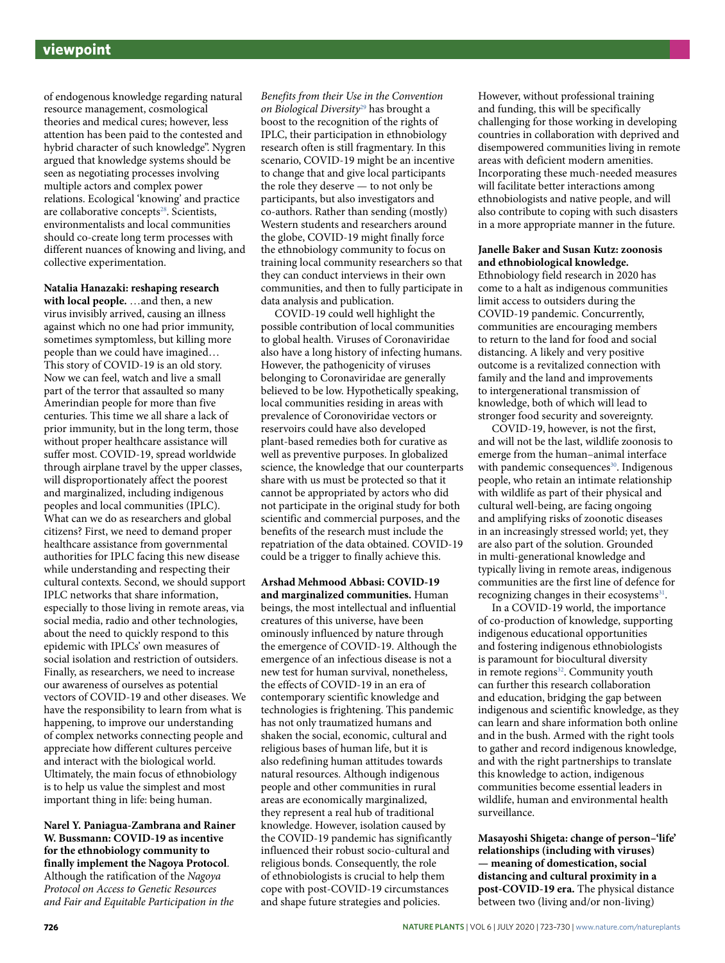of endogenous knowledge regarding natural resource management, cosmological theories and medical cures; however, less attention has been paid to the contested and hybrid character of such knowledge". Nygren argued that knowledge systems should be seen as negotiating processes involving multiple actors and complex power relations. Ecological 'knowing' and practice are collaborative concepts<sup>28</sup>. Scientists, environmentalists and local communities should co-create long term processes with different nuances of knowing and living, and collective experimentation.

#### **Natalia Hanazaki: reshaping research**

**with local people.** …and then, a new virus invisibly arrived, causing an illness against which no one had prior immunity, sometimes symptomless, but killing more people than we could have imagined… This story of COVID-19 is an old story. Now we can feel, watch and live a small part of the terror that assaulted so many Amerindian people for more than five centuries. This time we all share a lack of prior immunity, but in the long term, those without proper healthcare assistance will suffer most. COVID-19, spread worldwide through airplane travel by the upper classes, will disproportionately affect the poorest and marginalized, including indigenous peoples and local communities (IPLC). What can we do as researchers and global citizens? First, we need to demand proper healthcare assistance from governmental authorities for IPLC facing this new disease while understanding and respecting their cultural contexts. Second, we should support IPLC networks that share information, especially to those living in remote areas, via social media, radio and other technologies, about the need to quickly respond to this epidemic with IPLCs' own measures of social isolation and restriction of outsiders. Finally, as researchers, we need to increase our awareness of ourselves as potential vectors of COVID-19 and other diseases. We have the responsibility to learn from what is happening, to improve our understanding of complex networks connecting people and appreciate how different cultures perceive and interact with the biological world. Ultimately, the main focus of ethnobiology is to help us value the simplest and most important thing in life: being human.

**Narel Y. Paniagua-Zambrana and Rainer W. Bussmann: COVID-19 as incentive for the ethnobiology community to finally implement the Nagoya Protocol**. Although the ratification of the *Nagoya Protocol on Access to Genetic Resources and Fair and Equitable Participation in the* 

*Benefits from their Use in the Convention on Biological Diversity*[29](#page-6-28) has brought a boost to the recognition of the rights of IPLC, their participation in ethnobiology research often is still fragmentary. In this scenario, COVID-19 might be an incentive to change that and give local participants the role they deserve — to not only be participants, but also investigators and co-authors. Rather than sending (mostly) Western students and researchers around the globe, COVID-19 might finally force the ethnobiology community to focus on training local community researchers so that they can conduct interviews in their own communities, and then to fully participate in data analysis and publication.

COVID-19 could well highlight the possible contribution of local communities to global health. Viruses of Coronaviridae also have a long history of infecting humans. However, the pathogenicity of viruses belonging to Coronaviridae are generally believed to be low. Hypothetically speaking, local communities residing in areas with prevalence of Coronoviridae vectors or reservoirs could have also developed plant-based remedies both for curative as well as preventive purposes. In globalized science, the knowledge that our counterparts share with us must be protected so that it cannot be appropriated by actors who did not participate in the original study for both scientific and commercial purposes, and the benefits of the research must include the repatriation of the data obtained. COVID-19 could be a trigger to finally achieve this.

**Arshad Mehmood Abbasi: COVID-19 and marginalized communities.** Human beings, the most intellectual and influential creatures of this universe, have been ominously influenced by nature through the emergence of COVID-19. Although the emergence of an infectious disease is not a new test for human survival, nonetheless, the effects of COVID-19 in an era of contemporary scientific knowledge and technologies is frightening. This pandemic has not only traumatized humans and shaken the social, economic, cultural and religious bases of human life, but it is also redefining human attitudes towards natural resources. Although indigenous people and other communities in rural areas are economically marginalized, they represent a real hub of traditional knowledge. However, isolation caused by the COVID-19 pandemic has significantly influenced their robust socio-cultural and religious bonds. Consequently, the role of ethnobiologists is crucial to help them cope with post-COVID-19 circumstances and shape future strategies and policies.

However, without professional training and funding, this will be specifically challenging for those working in developing countries in collaboration with deprived and disempowered communities living in remote areas with deficient modern amenities. Incorporating these much-needed measures will facilitate better interactions among ethnobiologists and native people, and will also contribute to coping with such disasters in a more appropriate manner in the future.

## **Janelle Baker and Susan Kutz: zoonosis and ethnobiological knowledge.**

Ethnobiology field research in 2020 has come to a halt as indigenous communities limit access to outsiders during the COVID-19 pandemic. Concurrently, communities are encouraging members to return to the land for food and social distancing. A likely and very positive outcome is a revitalized connection with family and the land and improvements to intergenerational transmission of knowledge, both of which will lead to stronger food security and sovereignty.

COVID-19, however, is not the first, and will not be the last, wildlife zoonosis to emerge from the human–animal interface with pandemic consequences<sup>30</sup>. Indigenous people, who retain an intimate relationship with wildlife as part of their physical and cultural well-being, are facing ongoing and amplifying risks of zoonotic diseases in an increasingly stressed world; yet, they are also part of the solution. Grounded in multi-generational knowledge and typically living in remote areas, indigenous communities are the first line of defence for recognizing changes in their ecosystems<sup>31</sup>.

In a COVID-19 world, the importance of co-production of knowledge, supporting indigenous educational opportunities and fostering indigenous ethnobiologists is paramount for biocultural diversity in remote regions<sup>32</sup>. Community youth can further this research collaboration and education, bridging the gap between indigenous and scientific knowledge, as they can learn and share information both online and in the bush. Armed with the right tools to gather and record indigenous knowledge, and with the right partnerships to translate this knowledge to action, indigenous communities become essential leaders in wildlife, human and environmental health surveillance.

**Masayoshi Shigeta: change of person–'life' relationships (including with viruses) — meaning of domestication, social distancing and cultural proximity in a post-COVID-19 era.** The physical distance between two (living and/or non-living)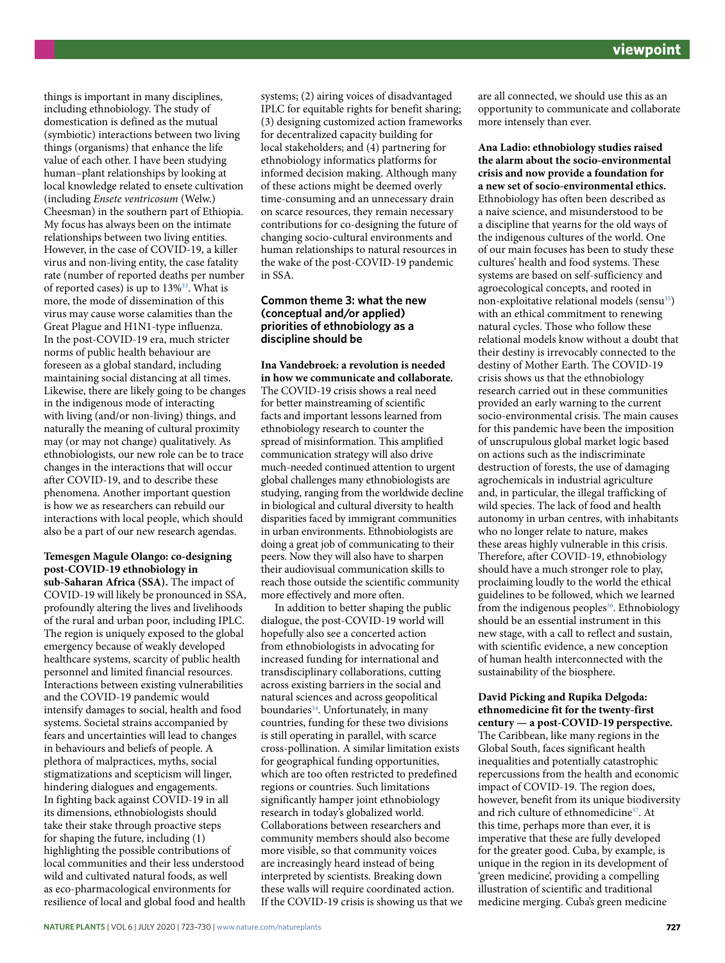things is important in many disciplines, including ethnobiology. The study of domestication is defined as the mutual (symbiotic) interactions between two living things (organisms) that enhance the life value of each other. I have been studying human–plant relationships by looking at local knowledge related to ensete cultivation (including *Ensete ventricosum* (Welw.) Cheesman) in the southern part of Ethiopia. My focus has always been on the intimate relationships between two living entities. However, in the case of COVID-19, a killer virus and non-living entity, the case fatality rate (number of reported deaths per number of reported cases) is up to 13[%33](#page-6-32). What is more, the mode of dissemination of this virus may cause worse calamities than the Great Plague and H1N1-type influenza. In the post-COVID-19 era, much stricter norms of public health behaviour are foreseen as a global standard, including maintaining social distancing at all times. Likewise, there are likely going to be changes in the indigenous mode of interacting with living (and/or non-living) things, and naturally the meaning of cultural proximity may (or may not change) qualitatively. As ethnobiologists, our new role can be to trace changes in the interactions that will occur after COVID-19, and to describe these phenomena. Another important question is how we as researchers can rebuild our interactions with local people, which should also be a part of our new research agendas.

**Temesgen Magule Olango: co-designing post-COVID-19 ethnobiology in sub-Saharan Africa (SSA).** The impact of COVID-19 will likely be pronounced in SSA, profoundly altering the lives and livelihoods of the rural and urban poor, including IPLC. The region is uniquely exposed to the global emergency because of weakly developed healthcare systems, scarcity of public health personnel and limited financial resources. Interactions between existing vulnerabilities and the COVID-19 pandemic would intensify damages to social, health and food systems. Societal strains accompanied by fears and uncertainties will lead to changes in behaviours and beliefs of people. A plethora of malpractices, myths, social stigmatizations and scepticism will linger, hindering dialogues and engagements. In fighting back against COVID-19 in all its dimensions, ethnobiologists should take their stake through proactive steps for shaping the future, including (1) highlighting the possible contributions of local communities and their less understood wild and cultivated natural foods, as well as eco-pharmacological environments for resilience of local and global food and health

systems; (2) airing voices of disadvantaged IPLC for equitable rights for benefit sharing; (3) designing customized action frameworks for decentralized capacity building for local stakeholders; and (4) partnering for ethnobiology informatics platforms for informed decision making. Although many of these actions might be deemed overly time-consuming and an unnecessary drain on scarce resources, they remain necessary contributions for co-designing the future of changing socio-cultural environments and human relationships to natural resources in the wake of the post-COVID-19 pandemic in SSA.

### **Common theme 3: what the new (conceptual and/or applied) priorities of ethnobiology as a discipline should be**

**Ina Vandebroek: a revolution is needed in how we communicate and collaborate.** The COVID-19 crisis shows a real need for better mainstreaming of scientific facts and important lessons learned from ethnobiology research to counter the spread of misinformation. This amplified communication strategy will also drive much-needed continued attention to urgent global challenges many ethnobiologists are studying, ranging from the worldwide decline in biological and cultural diversity to health disparities faced by immigrant communities in urban environments. Ethnobiologists are doing a great job of communicating to their peers. Now they will also have to sharpen their audiovisual communication skills to reach those outside the scientific community more effectively and more often.

In addition to better shaping the public dialogue, the post-COVID-19 world will hopefully also see a concerted action from ethnobiologists in advocating for increased funding for international and transdisciplinary collaborations, cutting across existing barriers in the social and natural sciences and across geopolitical boundaries<sup>34</sup>. Unfortunately, in many countries, funding for these two divisions is still operating in parallel, with scarce cross-pollination. A similar limitation exists for geographical funding opportunities, which are too often restricted to predefined regions or countries. Such limitations significantly hamper joint ethnobiology research in today's globalized world. Collaborations between researchers and community members should also become more visible, so that community voices are increasingly heard instead of being interpreted by scientists. Breaking down these walls will require coordinated action. If the COVID-19 crisis is showing us that we

are all connected, we should use this as an opportunity to communicate and collaborate more intensely than ever.

**Ana Ladio: ethnobiology studies raised the alarm about the socio-environmental crisis and now provide a foundation for a new set of socio-environmental ethics.** Ethnobiology has often been described as a naive science, and misunderstood to be a discipline that yearns for the old ways of the indigenous cultures of the world. One of our main focuses has been to study these cultures' health and food systems. These systems are based on self-sufficiency and agroecological concepts, and rooted in non-exploitative relational models (sensu<sup>35</sup>) with an ethical commitment to renewing natural cycles. Those who follow these relational models know without a doubt that their destiny is irrevocably connected to the destiny of Mother Earth. The COVID-19 crisis shows us that the ethnobiology research carried out in these communities provided an early warning to the current socio-environmental crisis. The main causes for this pandemic have been the imposition of unscrupulous global market logic based on actions such as the indiscriminate destruction of forests, the use of damaging agrochemicals in industrial agriculture and, in particular, the illegal trafficking of wild species. The lack of food and health autonomy in urban centres, with inhabitants who no longer relate to nature, makes these areas highly vulnerable in this crisis. Therefore, after COVID-19, ethnobiology should have a much stronger role to play, proclaiming loudly to the world the ethical guidelines to be followed, which we learned from the indigenous peoples<sup>36</sup>. Ethnobiology should be an essential instrument in this new stage, with a call to reflect and sustain, with scientific evidence, a new conception of human health interconnected with the sustainability of the biosphere.

**David Picking and Rupika Delgoda: ethnomedicine fit for the twenty-first century — a post-COVID-19 perspective.** The Caribbean, like many regions in the Global South, faces significant health inequalities and potentially catastrophic repercussions from the health and economic impact of COVID-19. The region does, however, benefit from its unique biodiversity and rich culture of ethnomedicine<sup>37</sup>. At this time, perhaps more than ever, it is imperative that these are fully developed for the greater good. Cuba, by example, is unique in the region in its development of 'green medicine', providing a compelling illustration of scientific and traditional medicine merging. Cuba's green medicine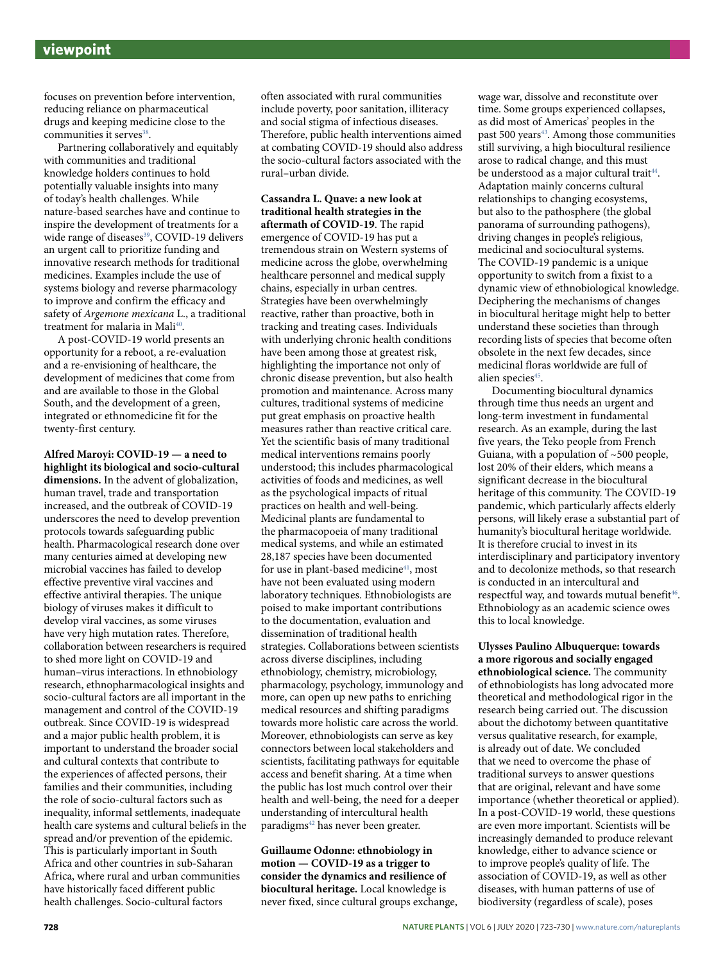focuses on prevention before intervention, reducing reliance on pharmaceutical drugs and keeping medicine close to the communities it serves<sup>[38](#page-6-37)</sup>.

Partnering collaboratively and equitably with communities and traditional knowledge holders continues to hold potentially valuable insights into many of today's health challenges. While nature-based searches have and continue to inspire the development of treatments for a wide range of diseases<sup>[39](#page-6-38)</sup>, COVID-19 delivers an urgent call to prioritize funding and innovative research methods for traditional medicines. Examples include the use of systems biology and reverse pharmacology to improve and confirm the efficacy and safety of *Argemone mexicana* L., a traditional treatment for malaria in Mali<sup>40</sup>.

A post-COVID-19 world presents an opportunity for a reboot, a re-evaluation and a re-envisioning of healthcare, the development of medicines that come from and are available to those in the Global South, and the development of a green, integrated or ethnomedicine fit for the twenty-first century.

**Alfred Maroyi: COVID-19 — a need to highlight its biological and socio-cultural dimensions.** In the advent of globalization, human travel, trade and transportation increased, and the outbreak of COVID-19 underscores the need to develop prevention protocols towards safeguarding public health. Pharmacological research done over many centuries aimed at developing new microbial vaccines has failed to develop effective preventive viral vaccines and effective antiviral therapies. The unique biology of viruses makes it difficult to develop viral vaccines, as some viruses have very high mutation rates. Therefore, collaboration between researchers is required to shed more light on COVID-19 and human–virus interactions. In ethnobiology research, ethnopharmacological insights and socio-cultural factors are all important in the management and control of the COVID-19 outbreak. Since COVID-19 is widespread and a major public health problem, it is important to understand the broader social and cultural contexts that contribute to the experiences of affected persons, their families and their communities, including the role of socio-cultural factors such as inequality, informal settlements, inadequate health care systems and cultural beliefs in the spread and/or prevention of the epidemic. This is particularly important in South Africa and other countries in sub-Saharan Africa, where rural and urban communities have historically faced different public health challenges. Socio-cultural factors

often associated with rural communities include poverty, poor sanitation, illiteracy and social stigma of infectious diseases. Therefore, public health interventions aimed at combating COVID-19 should also address the socio-cultural factors associated with the rural–urban divide.

**Cassandra L. Quave: a new look at traditional health strategies in the aftermath of COVID-19**. The rapid emergence of COVID-19 has put a tremendous strain on Western systems of medicine across the globe, overwhelming healthcare personnel and medical supply chains, especially in urban centres. Strategies have been overwhelmingly reactive, rather than proactive, both in tracking and treating cases. Individuals with underlying chronic health conditions have been among those at greatest risk, highlighting the importance not only of chronic disease prevention, but also health promotion and maintenance. Across many cultures, traditional systems of medicine put great emphasis on proactive health measures rather than reactive critical care. Yet the scientific basis of many traditional medical interventions remains poorly understood; this includes pharmacological activities of foods and medicines, as well as the psychological impacts of ritual practices on health and well-being. Medicinal plants are fundamental to the pharmacopoeia of many traditional medical systems, and while an estimated 28,187 species have been documented for use in plant-based medicine<sup>41</sup>, most have not been evaluated using modern laboratory techniques. Ethnobiologists are poised to make important contributions to the documentation, evaluation and dissemination of traditional health strategies. Collaborations between scientists across diverse disciplines, including ethnobiology, chemistry, microbiology, pharmacology, psychology, immunology and more, can open up new paths to enriching medical resources and shifting paradigms towards more holistic care across the world. Moreover, ethnobiologists can serve as key connectors between local stakeholders and scientists, facilitating pathways for equitable access and benefit sharing. At a time when the public has lost much control over their health and well-being, the need for a deeper understanding of intercultural health paradigms<sup>42</sup> has never been greater.

**Guillaume Odonne: ethnobiology in motion — COVID-19 as a trigger to consider the dynamics and resilience of biocultural heritage.** Local knowledge is never fixed, since cultural groups exchange,

wage war, dissolve and reconstitute over time. Some groups experienced collapses, as did most of Americas' peoples in the past  $500$  years<sup>43</sup>. Among those communities still surviving, a high biocultural resilience arose to radical change, and this must be understood as a major cultural trait<sup>44</sup>. Adaptation mainly concerns cultural relationships to changing ecosystems, but also to the pathosphere (the global panorama of surrounding pathogens), driving changes in people's religious, medicinal and sociocultural systems. The COVID-19 pandemic is a unique opportunity to switch from a fixist to a dynamic view of ethnobiological knowledge. Deciphering the mechanisms of changes in biocultural heritage might help to better understand these societies than through recording lists of species that become often obsolete in the next few decades, since medicinal floras worldwide are full of alien species<sup>45</sup>.

Documenting biocultural dynamics through time thus needs an urgent and long-term investment in fundamental research. As an example, during the last five years, the Teko people from French Guiana, with a population of  $\sim$  500 people, lost 20% of their elders, which means a significant decrease in the biocultural heritage of this community. The COVID-19 pandemic, which particularly affects elderly persons, will likely erase a substantial part of humanity's biocultural heritage worldwide. It is therefore crucial to invest in its interdisciplinary and participatory inventory and to decolonize methods, so that research is conducted in an intercultural and respectful way, and towards mutual benefit<sup>46</sup>. Ethnobiology as an academic science owes this to local knowledge.

**Ulysses Paulino Albuquerque: towards a more rigorous and socially engaged ethnobiological science.** The community of ethnobiologists has long advocated more theoretical and methodological rigor in the research being carried out. The discussion about the dichotomy between quantitative versus qualitative research, for example, is already out of date. We concluded that we need to overcome the phase of traditional surveys to answer questions that are original, relevant and have some importance (whether theoretical or applied). In a post-COVID-19 world, these questions are even more important. Scientists will be increasingly demanded to produce relevant knowledge, either to advance science or to improve people's quality of life. The association of COVID-19, as well as other diseases, with human patterns of use of biodiversity (regardless of scale), poses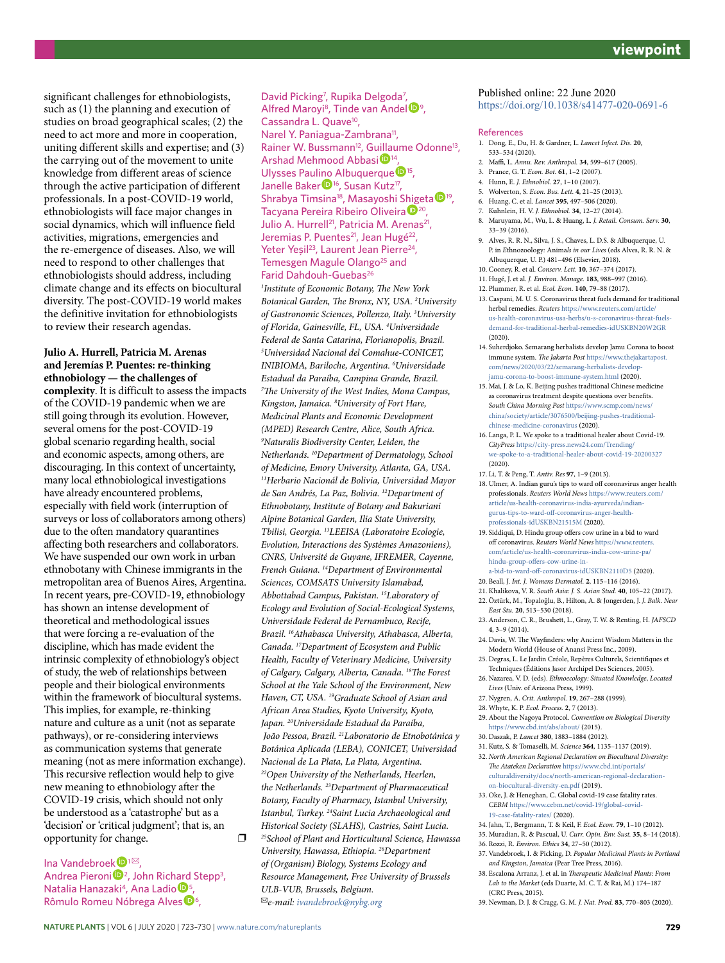significant challenges for ethnobiologists, such as (1) the planning and execution of studies on broad geographical scales; (2) the need to act more and more in cooperation, uniting different skills and expertise; and (3) the carrying out of the movement to unite knowledge from different areas of science through the active participation of different professionals. In a post-COVID-19 world, ethnobiologists will face major changes in social dynamics, which will influence field activities, migrations, emergencies and the re-emergence of diseases. Also, we will need to respond to other challenges that ethnobiologists should address, including climate change and its effects on biocultural diversity. The post-COVID-19 world makes the definitive invitation for ethnobiologists to review their research agendas.

#### **Julio A. Hurrell, Patricia M. Arenas and Jeremías P. Puentes: re-thinking ethnobiology — the challenges of**

**complexity**. It is difficult to assess the impacts of the COVID-19 pandemic when we are still going through its evolution. However, several omens for the post-COVID-19 global scenario regarding health, social and economic aspects, among others, are discouraging. In this context of uncertainty, many local ethnobiological investigations have already encountered problems, especially with field work (interruption of surveys or loss of collaborators among others) due to the often mandatory quarantines affecting both researchers and collaborators. We have suspended our own work in urban ethnobotany with Chinese immigrants in the metropolitan area of Buenos Aires, Argentina. In recent years, pre-COVID-19, ethnobiology has shown an intense development of theoretical and methodological issues that were forcing a re-evaluation of the discipline, which has made evident the intrinsic complexity of ethnobiology's object of study, the web of relationships between people and their biological environments within the framework of biocultural systems. This implies, for example, re-thinking nature and culture as a unit (not as separate pathways), or re-considering interviews as communication systems that generate meaning (not as mere information exchange). This recursive reflection would help to give new meaning to ethnobiology after the COVID-19 crisis, which should not only be understood as a 'catastrophe' but as a 'decision' or 'critical judgment'; that is, an opportunity for change.  $\Box$ 

Ina Vandebroek<sup>**D**1⊠</sup> Andrea Pieroni $\mathbf{D}^2$ , John Rich[ard](http://orcid.org/0000-0002-2844-6704) Stepp<sup>3</sup>, Natalia Hanazaki<sup>4</sup>, Ana Ladio<sup>1</sup> [,](http://orcid.org/0000-0001-6824-0797) Rômulo Romeu Nóbrega Alves<sup>®6</sup>,

DavidPicking<sup>7</sup>, Rupika Delgoda<sup>7</sup>, Alfred Maroyi<sup>8</sup>, Tinde van Andel<sup>n</sup><sup>9</sup>, Cassandra L. Quave<sup>10</sup>, Narel Y. Paniagua-Zambrana<sup>11</sup> Rainer W. Bussmann<sup>12</sup>, Gu[illa](http://orcid.org/0000-0001-9978-3866)ume Odonne<sup>13</sup>, Arshad Mehmood Abbasi<sup>D14</sup> Ulysses Pauli[no](http://orcid.org/0000-0002-7865-8123) Albuquerque<sup>15</sup>, Janelle Baker<sup>(D<sub>16</sub>, Susan Kutz<sup>17</sup>,</sup> Shrabya Timsina<sup>18</sup>, Masayoshi Shigeta<sup>D19</sup>, Tacyana Pereira Ribeiro Oliveira<sup>120</sup>, Julio A. Hurrell<sup>21</sup>, Patricia M. Arenas<sup>21</sup>, Jeremias P. Puentes<sup>21</sup>, Jean Hugé<sup>22</sup>, Yeter Yeşil<sup>23</sup>, Laurent Jean Pierre<sup>24</sup>, Temesgen Magule Olango<sup>25</sup> and Farid Dahdouh-Guebas<sup>26</sup>

<sup>1</sup> Institute of Economic Botany, The New York Botanical Garden, The Bronx, NY, USA. <sup>2</sup>University *of Gastronomic Sciences, Pollenzo, Italy. 3 University of Florida, Gainesville, FL, USA. 4 Universidade Federal de Santa Catarina, Florianopolis, Brazil. 5 Universidad Nacional del Comahue-CONICET, INIBIOMA, Bariloche, Argentina. 6 Universidade Estadual da Paraíba, Campina Grande, Brazil. 7 Te University of the West Indies, Mona Campus, Kingston, Jamaica. 8 University of Fort Hare, Medicinal Plants and Economic Development (MPED) Research Centre, Alice, South Africa. 9 Naturalis Biodiversity Center, Leiden, the Netherlands. 10Department of Dermatology, School of Medicine, Emory University, Atlanta, GA, USA. 11Herbario Nacionál de Bolivia, Universidad Mayor de San Andrés, La Paz, Bolivia. 12Department of Ethnobotany, Institute of Botany and Bakuriani Alpine Botanical Garden, Ilia State University, Tbilisi, Georgia. 13LEEISA (Laboratoire Ecologie, Evolution, Interactions des Systèmes Amazoniens), CNRS, Université de Guyane, IFREMER, Cayenne, French Guiana. 14Department of Environmental Sciences, COMSATS University Islamabad, Abbottabad Campus, Pakistan. 15Laboratory of Ecology and Evolution of Social-Ecological Systems, Universidade Federal de Pernambuco, Recife, Brazil. 16Athabasca University, Athabasca, Alberta, Canada. 17Department of Ecosystem and Public Health, Faculty of Veterinary Medicine, University of Calgary, Calgary, Alberta, Canada. 18Te Forest School at the Yale School of the Environment, New Haven, CT, USA. 19Graduate School of Asian and African Area Studies, Kyoto University, Kyoto, Japan. 20Universidade Estadual da Paraíba, João Pessoa, Brazil. 21Laboratorio de Etnobotánica y Botánica Aplicada (LEBA), CONICET, Universidad Nacional de La Plata, La Plata, Argentina. 22Open University of the Netherlands, Heerlen, the Netherlands. 23Department of Pharmaceutical Botany, Faculty of Pharmacy, Istanbul University, Istanbul, Turkey. 24Saint Lucia Archaeological and Historical Society (SLAHS), Castries, Saint Lucia. 25School of Plant and Horticultural Science, Hawassa University, Hawassa, Ethiopia. 26Department of (Organism) Biology, Systems Ecology and Resource Management, Free University of Brussels ULB-VUB, Brussels, Belgium.*  ✉*e-mail: [ivandebroek@nybg.org](mailto:ivandebroek@nybg.org)*

# Published online: 22 June 2020

#### <https://doi.org/10.1038/s41477-020-0691-6>

#### References

- <span id="page-6-0"></span>1. Dong, E., Du, H. & Gardner, L. *Lancet Infect. Dis.* **20**, 533–534 (2020).
- <span id="page-6-1"></span>2. Maffi, L. Annu. Rev. Anthropol. 34, 599-617 (2005).
- <span id="page-6-2"></span>3. Prance, G. T. *Econ. Bot.* **61**, 1–2 (2007).
- <span id="page-6-3"></span>4. Hunn, E. *J. Ethnobiol.* **27**, 1–10 (2007).
- <span id="page-6-4"></span>5. Wolverton, S. *Econ. Bus. Lett.* **4**, 21–25 (2013).
- <span id="page-6-5"></span>6. Huang, C. et al. *Lancet* **395**, 497–506 (2020).
- <span id="page-6-6"></span>7. Kuhnlein, H. V. *J. Ethnobiol.* **34**, 12–27 (2014).
- <span id="page-6-7"></span>8. Maruyama, M., Wu, L. & Huang, L. *J. Retail. Consum. Serv.* **30**, 33–39 (2016).
- <span id="page-6-8"></span>9. Alves, R. R. N., Silva, J. S., Chaves, L. D.S. & Albuquerque, U. P. in *E*thnozoology*:* Anima*ls in our Lives* (eds Alves, R. R. N. & Albuquerque, U. P.) 481–496 (Elsevier, 2018).
- <span id="page-6-9"></span>10. Cooney, R. et al. *Conserv. Lett.* **10**, 367–374 (2017).
- <span id="page-6-10"></span>11. Hugé, J. et al. *J. Environ. Manage.* **183**, 988–997 (2016).
- <span id="page-6-11"></span>12. Plummer, R. et al. *Ecol. Econ.* **140**, 79–88 (2017).
- <span id="page-6-12"></span>13. Caspani, M. U. S. Coronavirus threat fuels demand for traditional herbal remedies. *Reuters* [https://www.reuters.com/article/](https://www.reuters.com/article/us-health-coronavirus-usa-herbs/u-s-coronavirus-threat-fuels-demand-for-traditional-herbal-remedies-idUSKBN20W2GR) [us-health-coronavirus-usa-herbs/u-s-coronavirus-threat-fuels](https://www.reuters.com/article/us-health-coronavirus-usa-herbs/u-s-coronavirus-threat-fuels-demand-for-traditional-herbal-remedies-idUSKBN20W2GR)[demand-for-traditional-herbal-remedies-idUSKBN20W2GR](https://www.reuters.com/article/us-health-coronavirus-usa-herbs/u-s-coronavirus-threat-fuels-demand-for-traditional-herbal-remedies-idUSKBN20W2GR) (2020).
- <span id="page-6-13"></span>14. Suherdjoko. Semarang herbalists develop Jamu Corona to boost immune system. *The Jakarta Post* [https://www.thejakartapost.](https://www.thejakartapost.com/news/2020/03/22/semarang-herbalists-develop-jamu-corona-to-boost-immune-system.html) [com/news/2020/03/22/semarang-herbalists-develop](https://www.thejakartapost.com/news/2020/03/22/semarang-herbalists-develop-jamu-corona-to-boost-immune-system.html)[jamu-corona-to-boost-immune-system.html](https://www.thejakartapost.com/news/2020/03/22/semarang-herbalists-develop-jamu-corona-to-boost-immune-system.html) (2020).
- <span id="page-6-14"></span>15. Mai, J. & Lo, K. Beijing pushes traditional Chinese medicine as coronavirus treatment despite questions over benefts. *South China Morning Post* [https://www.scmp.com/news/](https://www.scmp.com/news/china/society/article/3076500/beijing-pushes-traditional-chinese-medicine-coronavirus) [china/society/article/3076500/beijing-pushes-traditional](https://www.scmp.com/news/china/society/article/3076500/beijing-pushes-traditional-chinese-medicine-coronavirus)[chinese-medicine-coronavirus](https://www.scmp.com/news/china/society/article/3076500/beijing-pushes-traditional-chinese-medicine-coronavirus) (2020).
- <span id="page-6-15"></span>16. Langa, P. L. We spoke to a traditional healer about Covid-19. *CityPress* [https://city-press.news24.com/Trending/](https://city-press.news24.com/Trending/we-spoke-to-a-traditional-healer-about-covid-19-20200327) [we-spoke-to-a-traditional-healer-about-covid-19-20200327](https://city-press.news24.com/Trending/we-spoke-to-a-traditional-healer-about-covid-19-20200327)  $(2020)$
- <span id="page-6-16"></span>17. Li, T. & Peng, T. *Antiv. Res* **97**, 1–9 (2013).
- <span id="page-6-17"></span>18. Ulmer, A. Indian guru's tips to ward off coronavirus anger health professionals. *Reuters World News* [https://www.reuters.com/](https://www.reuters.com/article/us-health-coronavirus-india-ayurveda/indian-gurus-tips-to-ward-off-coronavirus-anger-health-professionals-idUSKBN21515M) [article/us-health-coronavirus-india-ayurveda/indian](https://www.reuters.com/article/us-health-coronavirus-india-ayurveda/indian-gurus-tips-to-ward-off-coronavirus-anger-health-professionals-idUSKBN21515M)[gurus-tips-to-ward-of-coronavirus-anger-health](https://www.reuters.com/article/us-health-coronavirus-india-ayurveda/indian-gurus-tips-to-ward-off-coronavirus-anger-health-professionals-idUSKBN21515M)[professionals-idUSKBN21515M](https://www.reuters.com/article/us-health-coronavirus-india-ayurveda/indian-gurus-tips-to-ward-off-coronavirus-anger-health-professionals-idUSKBN21515M) (2020).
- <span id="page-6-18"></span>19. Siddiqui, D. Hindu group offers cow urine in a bid to ward of coronavirus. *Reuters World News* [https://www.reuters.](https://www.reuters.com/article/us-health-coronavirus-india-cow-urine-pa/hindu-group-offers-cow-urine-in-a-bid-to-ward-off-coronavirus-idUSKBN2110D5) [com/article/us-health-coronavirus-india-cow-urine-pa/](https://www.reuters.com/article/us-health-coronavirus-india-cow-urine-pa/hindu-group-offers-cow-urine-in-a-bid-to-ward-off-coronavirus-idUSKBN2110D5)  [hindu-group-ofers-cow-urine-in-](https://www.reuters.com/article/us-health-coronavirus-india-cow-urine-pa/hindu-group-offers-cow-urine-in-a-bid-to-ward-off-coronavirus-idUSKBN2110D5)
- [a-bid-to-ward-of-coronavirus-idUSKBN2110D5](https://www.reuters.com/article/us-health-coronavirus-india-cow-urine-pa/hindu-group-offers-cow-urine-in-a-bid-to-ward-off-coronavirus-idUSKBN2110D5) (2020).
- <span id="page-6-19"></span>20. Beall, J. *Int. J. Womens Dermatol.* **2**, 115–116 (2016).
- <span id="page-6-21"></span><span id="page-6-20"></span>21. Khalikova, V. R. *South Asia: J. S. Asian Stud.* **40**, 105–22 (2017). 22. Öztürk, M., Topaloğlu, B., Hilton, A. & Jongerden, J. *J. Balk. Near*
- <span id="page-6-22"></span>*East Stu.* **20**, 513–530 (2018). 23. Anderson, C. R., Brushett, L., Gray, T. W. & Renting, H. *JAFSCD*
- <span id="page-6-23"></span>**4**, 3–9 (2014). 24. Davis, W. The Wayfinders: why Ancient Wisdom Matters in the Modern World (House of Anansi Press Inc., 2009).
- <span id="page-6-24"></span>25. Degras, L. Le Jardin Créole, Repères Culturels, Scientifiques et
- <span id="page-6-25"></span>Techniques (Éditions Jasor Archipel Des Sciences, 2005). 26. Nazarea, V. D. (eds). *Ethnoecology: Situated Knowledge*, *Located Lives* (Univ. of Arizona Press, 1999).
- <span id="page-6-26"></span>27. Nygren, A. *Crit. Anthropol.* **19**, 267–288 (1999).
- <span id="page-6-27"></span>28. Whyte, K. P. *Ecol. Process.* **2**, 7 (2013).
- <span id="page-6-28"></span>29. About the Nagoya Protocol. *Convention on Biological Diversity* <https://www.cbd.int/abs/about/> (2015).
- <span id="page-6-29"></span>30. Daszak, P. *Lancet* **380**, 1883–1884 (2012).
- <span id="page-6-30"></span>31. Kutz, S. & Tomaselli, M. *Science* **364**, 1135–1137 (2019).
- <span id="page-6-31"></span>32. *North American Regional Declaration on Biocultural Diversity:*  The Atateken Declaration [https://www.cbd.int/portals/](https://www.cbd.int/portals/culturaldiversity/docs/north-american-regional-declaration-on-biocultural-diversity-en.pdf) [culturaldiversity/docs/north-american-regional-declaration](https://www.cbd.int/portals/culturaldiversity/docs/north-american-regional-declaration-on-biocultural-diversity-en.pdf)[on-biocultural-diversity-en.pdf](https://www.cbd.int/portals/culturaldiversity/docs/north-american-regional-declaration-on-biocultural-diversity-en.pdf) (2019).
- <span id="page-6-32"></span>33. Oke, J. & Heneghan, C. Global covid-19 case fatality rates. *CEBM* [https://www.cebm.net/covid-19/global-covid-](https://www.cebm.net/covid-19/global-covid-19-case-fatality-rates/)[19-case-fatality-rates/](https://www.cebm.net/covid-19/global-covid-19-case-fatality-rates/) (2020).
- <span id="page-6-33"></span>34. Jahn, T., Bergmann, T. & Keil, F. *Ecol. Econ.* **79**, 1–10 (2012).
- <span id="page-6-34"></span>35. Muradian, R. & Pascual, U. *Curr. Opin. Env. Sust.* **35**, 8–14 (2018).
- <span id="page-6-35"></span>36. Rozzi, R. *Environ. Ethics* **34**, 27–50 (2012).
- <span id="page-6-36"></span>37. Vandebroek, I. & Picking, D. *Popular Medicinal Plants in Portland and Kingston*, *Jamaica* (Pear Tree Press, 2016).
- <span id="page-6-37"></span>38. Escalona Arranz, J. et al. in *Therapeutic Medicinal Plants: From Lab to the Market* (eds Duarte, M. C. T. & Rai, M.) 174–187 (CRC Press, 2015).
- <span id="page-6-38"></span>39. Newman, D. J. & Cragg, G. M. *J. Nat. Prod.* **83**, 770–803 (2020).